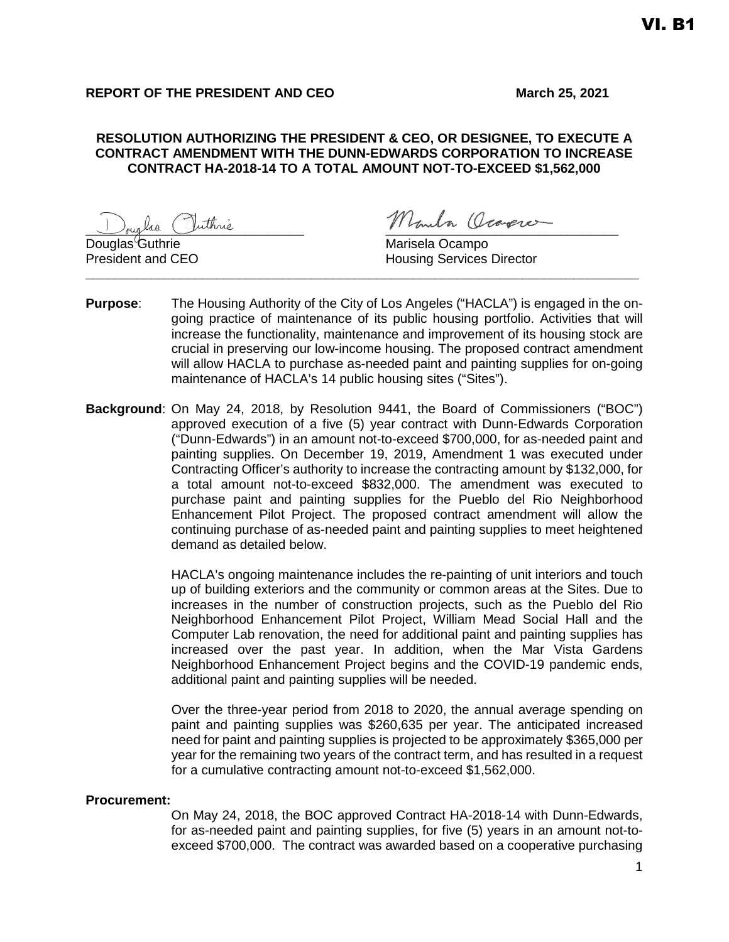# **REPORT OF THE PRESIDENT AND CEO** March 25, 2021

## **RESOLUTION AUTHORIZING THE PRESIDENT & CEO, OR DESIGNEE, TO EXECUTE A CONTRACT AMENDMENT WITH THE DUNN-EDWARDS CORPORATION TO INCREASE CONTRACT HA-2018-14 TO A TOTAL AMOUNT NOT-TO-EXCEED \$1,562,000**

 $\overline{D}$ ouglas Guthrie

<sub>oug</sub>las Outhrie Mondo Converce

President and CEO **Housing Services Director** 

**Purpose**: The Housing Authority of the City of Los Angeles ("HACLA") is engaged in the ongoing practice of maintenance of its public housing portfolio. Activities that will increase the functionality, maintenance and improvement of its housing stock are crucial in preserving our low-income housing. The proposed contract amendment will allow HACLA to purchase as-needed paint and painting supplies for on-going maintenance of HACLA's 14 public housing sites ("Sites").

**\_\_\_\_\_\_\_\_\_\_\_\_\_\_\_\_\_\_\_\_\_\_\_\_\_\_\_\_\_\_\_\_\_\_\_\_\_\_\_\_\_\_\_\_\_\_\_\_\_\_\_\_\_\_\_\_\_\_\_\_\_\_\_\_\_\_\_\_\_\_\_\_\_\_\_\_**

**Background**: On May 24, 2018, by Resolution 9441, the Board of Commissioners ("BOC") approved execution of a five (5) year contract with Dunn-Edwards Corporation ("Dunn-Edwards") in an amount not-to-exceed \$700,000, for as-needed paint and painting supplies. On December 19, 2019, Amendment 1 was executed under Contracting Officer's authority to increase the contracting amount by \$132,000, for a total amount not-to-exceed \$832,000. The amendment was executed to purchase paint and painting supplies for the Pueblo del Rio Neighborhood Enhancement Pilot Project. The proposed contract amendment will allow the continuing purchase of as-needed paint and painting supplies to meet heightened demand as detailed below.

> HACLA's ongoing maintenance includes the re-painting of unit interiors and touch up of building exteriors and the community or common areas at the Sites. Due to increases in the number of construction projects, such as the Pueblo del Rio Neighborhood Enhancement Pilot Project, William Mead Social Hall and the Computer Lab renovation, the need for additional paint and painting supplies has increased over the past year. In addition, when the Mar Vista Gardens Neighborhood Enhancement Project begins and the COVID-19 pandemic ends, additional paint and painting supplies will be needed.

> Over the three-year period from 2018 to 2020, the annual average spending on paint and painting supplies was \$260,635 per year. The anticipated increased need for paint and painting supplies is projected to be approximately \$365,000 per year for the remaining two years of the contract term, and has resulted in a request for a cumulative contracting amount not-to-exceed \$1,562,000.

#### **Procurement:**

On May 24, 2018, the BOC approved Contract HA-2018-14 with Dunn-Edwards, for as-needed paint and painting supplies, for five (5) years in an amount not-toexceed \$700,000. The contract was awarded based on a cooperative purchasing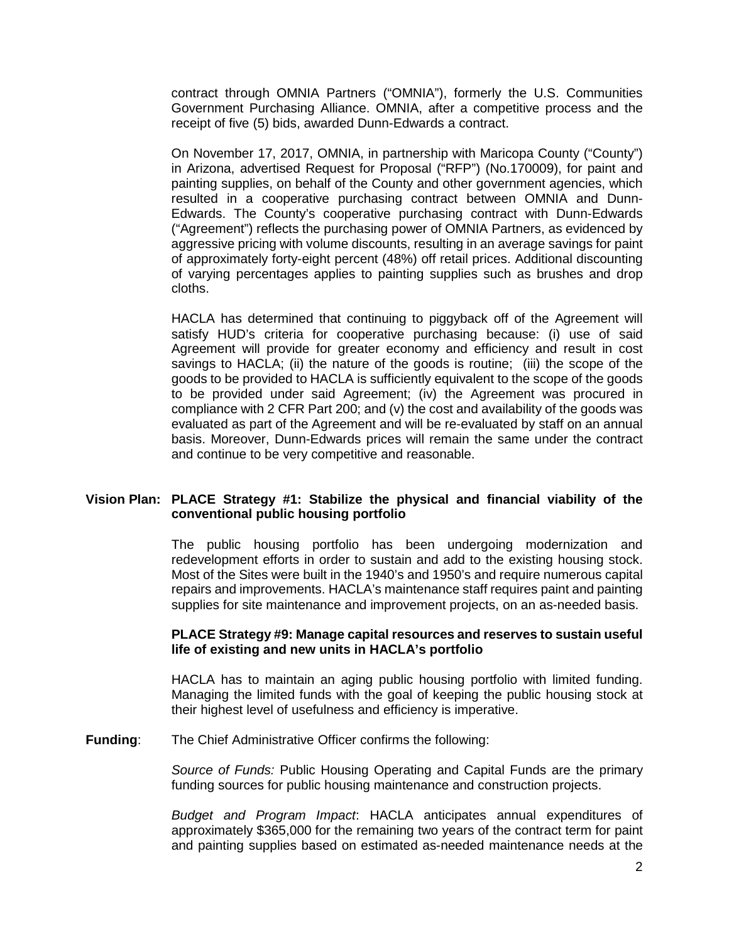contract through OMNIA Partners ("OMNIA"), formerly the U.S. Communities Government Purchasing Alliance. OMNIA, after a competitive process and the receipt of five (5) bids, awarded Dunn-Edwards a contract.

On November 17, 2017, OMNIA, in partnership with Maricopa County ("County") in Arizona, advertised Request for Proposal ("RFP") (No.170009), for paint and painting supplies, on behalf of the County and other government agencies, which resulted in a cooperative purchasing contract between OMNIA and Dunn-Edwards. The County's cooperative purchasing contract with Dunn-Edwards ("Agreement") reflects the purchasing power of OMNIA Partners, as evidenced by aggressive pricing with volume discounts, resulting in an average savings for paint of approximately forty-eight percent (48%) off retail prices. Additional discounting of varying percentages applies to painting supplies such as brushes and drop cloths.

HACLA has determined that continuing to piggyback off of the Agreement will satisfy HUD's criteria for cooperative purchasing because: (i) use of said Agreement will provide for greater economy and efficiency and result in cost savings to HACLA; (ii) the nature of the goods is routine; (iii) the scope of the goods to be provided to HACLA is sufficiently equivalent to the scope of the goods to be provided under said Agreement; (iv) the Agreement was procured in compliance with 2 CFR Part 200; and (v) the cost and availability of the goods was evaluated as part of the Agreement and will be re-evaluated by staff on an annual basis. Moreover, Dunn-Edwards prices will remain the same under the contract and continue to be very competitive and reasonable.

### **Vision Plan: PLACE Strategy #1: Stabilize the physical and financial viability of the conventional public housing portfolio**

The public housing portfolio has been undergoing modernization and redevelopment efforts in order to sustain and add to the existing housing stock. Most of the Sites were built in the 1940's and 1950's and require numerous capital repairs and improvements. HACLA's maintenance staff requires paint and painting supplies for site maintenance and improvement projects, on an as-needed basis.

#### **PLACE Strategy #9: Manage capital resources and reserves to sustain useful life of existing and new units in HACLA's portfolio**

HACLA has to maintain an aging public housing portfolio with limited funding. Managing the limited funds with the goal of keeping the public housing stock at their highest level of usefulness and efficiency is imperative.

#### **Funding**: The Chief Administrative Officer confirms the following:

*Source of Funds:* Public Housing Operating and Capital Funds are the primary funding sources for public housing maintenance and construction projects.

*Budget and Program Impact*: HACLA anticipates annual expenditures of approximately \$365,000 for the remaining two years of the contract term for paint and painting supplies based on estimated as-needed maintenance needs at the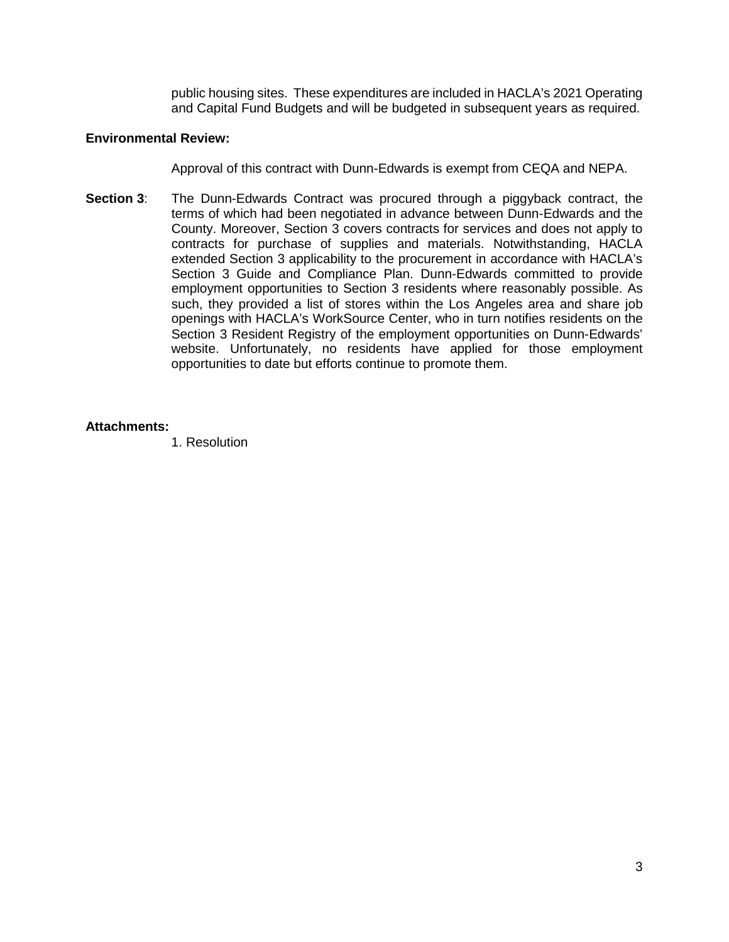public housing sites. These expenditures are included in HACLA's 2021 Operating and Capital Fund Budgets and will be budgeted in subsequent years as required.

## **Environmental Review:**

Approval of this contract with Dunn-Edwards is exempt from CEQA and NEPA.

**Section 3**: The Dunn-Edwards Contract was procured through a piggyback contract, the terms of which had been negotiated in advance between Dunn-Edwards and the County. Moreover, Section 3 covers contracts for services and does not apply to contracts for purchase of supplies and materials. Notwithstanding, HACLA extended Section 3 applicability to the procurement in accordance with HACLA's Section 3 Guide and Compliance Plan. Dunn-Edwards committed to provide employment opportunities to Section 3 residents where reasonably possible. As such, they provided a list of stores within the Los Angeles area and share job openings with HACLA's WorkSource Center, who in turn notifies residents on the Section 3 Resident Registry of the employment opportunities on Dunn-Edwards' website. Unfortunately, no residents have applied for those employment opportunities to date but efforts continue to promote them.

# **Attachments:**

1. Resolution